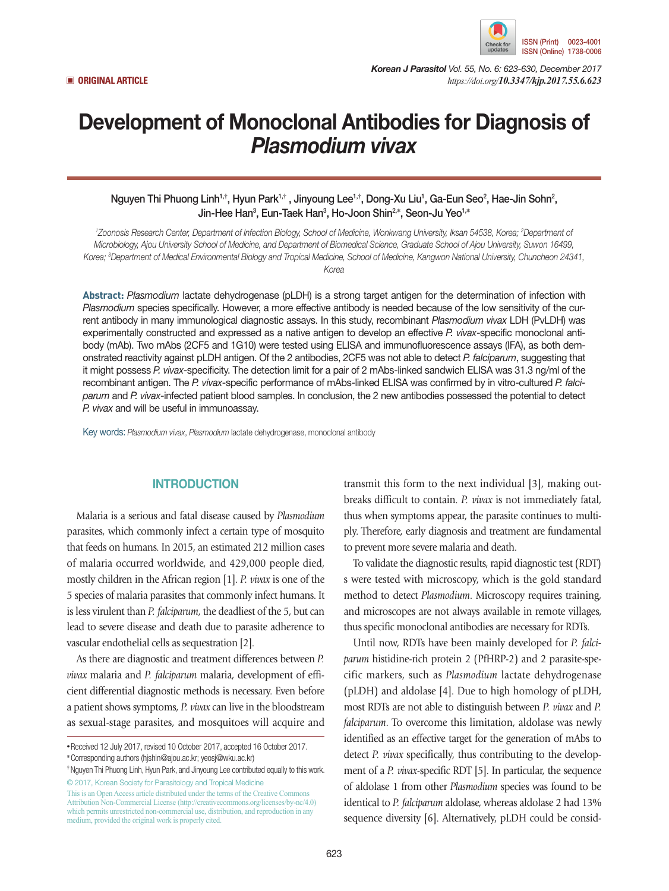

*Korean J Parasitol Vol. 55, No. 6: 623-630, December 2017* ▣ **ORIGINAL ARTICLE** *https://doi.org/10.3347/kjp.2017.55.6.623*

# Development of Monoclonal Antibodies for Diagnosis of *Plasmodium vivax*

Nguyen Thi Phuong Linh<sup>1,†</sup>, Hyun Park<sup>1,†</sup> , Jinyoung Lee<sup>1,†</sup>, Dong-Xu Liu<sup>1</sup>, Ga-Eun Seo<sup>2</sup>, Hae-Jin Sohn<sup>2</sup>, Jin-Hee Han3 , Eun-Taek Han3 , Ho-Joon Shin2,**\***, Seon-Ju Yeo1,**\***

<sup>1</sup>Zoonosis Research Center, Department of Infection Biology, School of Medicine, Wonkwang University, Iksan 54538, Korea; <sup>2</sup>Department of *Microbiology, Ajou University School of Medicine, and Department of Biomedical Science, Graduate School of Ajou University, Suwon 16499, Korea; 3 Department of Medical Environmental Biology and Tropical Medicine, School of Medicine, Kangwon National University, Chuncheon 24341, Korea*

**Abstract:** *Plasmodium* lactate dehydrogenase (pLDH) is a strong target antigen for the determination of infection with *Plasmodium* species specifically. However, a more effective antibody is needed because of the low sensitivity of the current antibody in many immunological diagnostic assays. In this study, recombinant *Plasmodium vivax* LDH (PvLDH) was experimentally constructed and expressed as a native antigen to develop an effective *P. vivax*-specific monoclonal antibody (mAb). Two mAbs (2CF5 and 1G10) were tested using ELISA and immunofluorescence assays (IFA), as both demonstrated reactivity against pLDH antigen. Of the 2 antibodies, 2CF5 was not able to detect *P. falciparum*, suggesting that it might possess *P. vivax*-specificity. The detection limit for a pair of 2 mAbs-linked sandwich ELISA was 31.3 ng/ml of the recombinant antigen. The *P. vivax*-specific performance of mAbs-linked ELISA was confirmed by in vitro-cultured *P. falciparum* and *P. vivax*-infected patient blood samples. In conclusion, the 2 new antibodies possessed the potential to detect *P. vivax* and will be useful in immunoassay.

Key words: *Plasmodium vivax*, *Plasmodium* lactate dehydrogenase, monoclonal antibody

## **INTRODUCTION**

Malaria is a serious and fatal disease caused by *Plasmodium* parasites, which commonly infect a certain type of mosquito that feeds on humans. In 2015, an estimated 212 million cases of malaria occurred worldwide, and 429,000 people died, mostly children in the African region [1]. *P. vivax* is one of the 5 species of malaria parasites that commonly infect humans. It is less virulent than *P. falciparum*, the deadliest of the 5, but can lead to severe disease and death due to parasite adherence to vascular endothelial cells as sequestration [2].

As there are diagnostic and treatment differences between *P. vivax* malaria and *P. falciparum* malaria, development of efficient differential diagnostic methods is necessary. Even before a patient shows symptoms, *P. vivax* can live in the bloodstream as sexual-stage parasites, and mosquitoes will acquire and

transmit this form to the next individual [3], making outbreaks difficult to contain. *P. vivax* is not immediately fatal, thus when symptoms appear, the parasite continues to multiply. Therefore, early diagnosis and treatment are fundamental to prevent more severe malaria and death.

To validate the diagnostic results, rapid diagnostic test (RDT) s were tested with microscopy, which is the gold standard method to detect *Plasmodium*. Microscopy requires training, and microscopes are not always available in remote villages, thus specific monoclonal antibodies are necessary for RDTs.

Until now, RDTs have been mainly developed for *P. falciparum* histidine-rich protein 2 (PfHRP-2) and 2 parasite-specific markers, such as *Plasmodium* lactate dehydrogenase (pLDH) and aldolase [4]. Due to high homology of pLDH, most RDTs are not able to distinguish between *P. vivax* and *P. falciparum*. To overcome this limitation, aldolase was newly identified as an effective target for the generation of mAbs to detect *P. vivax* specifically, thus contributing to the development of a *P. vivax*-specific RDT [5]. In particular, the sequence of aldolase 1 from other *Plasmodium* species was found to be identical to *P. falciparum* aldolase, whereas aldolase 2 had 13% sequence diversity [6]. Alternatively, pLDH could be consid-

**<sup>•</sup>**Received 12 July 2017, revised 10 October 2017, accepted 16 October 2017.

**<sup>\*</sup>**Corresponding authors (hjshin@ajou.ac.kr; yeosj@wku.ac.kr)

**<sup>†</sup>** Nguyen Thi Phuong Linh, Hyun Park, and Jinyoung Lee contributed equally to this work. © 2017, Korean Society for Parasitology and Tropical Medicine

This is an Open Access article distributed under the terms of the Creative Commons Attribution Non-Commercial License (http://creativecommons.org/licenses/by-nc/4.0) which permits unrestricted non-commercial use, distribution, and reproduction in any medium, provided the original work is properly cited.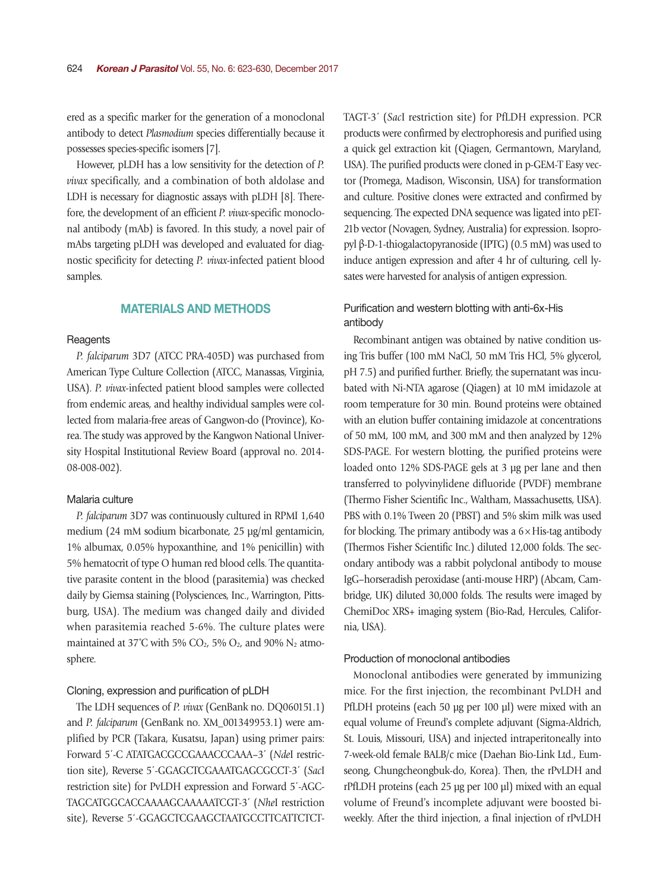ered as a specific marker for the generation of a monoclonal antibody to detect *Plasmodium* species differentially because it possesses species-specific isomers [7].

However, pLDH has a low sensitivity for the detection of *P. vivax* specifically, and a combination of both aldolase and LDH is necessary for diagnostic assays with pLDH [8]. Therefore, the development of an efficient *P. vivax*-specific monoclonal antibody (mAb) is favored. In this study, a novel pair of mAbs targeting pLDH was developed and evaluated for diagnostic specificity for detecting *P. vivax*-infected patient blood samples.

# MATERIALS AND METHODS

## **Reagents**

*P. falciparum* 3D7 (ATCC PRA-405D) was purchased from American Type Culture Collection (ATCC, Manassas, Virginia, USA). *P. vivax*-infected patient blood samples were collected from endemic areas, and healthy individual samples were collected from malaria-free areas of Gangwon-do (Province), Korea. The study was approved by the Kangwon National University Hospital Institutional Review Board (approval no. 2014- 08-008-002).

## Malaria culture

*P. falciparum* 3D7 was continuously cultured in RPMI 1,640 medium (24 mM sodium bicarbonate, 25 µg/ml gentamicin, 1% albumax, 0.05% hypoxanthine, and 1% penicillin) with 5% hematocrit of type O human red blood cells. The quantitative parasite content in the blood (parasitemia) was checked daily by Giemsa staining (Polysciences, Inc., Warrington, Pittsburg, USA). The medium was changed daily and divided when parasitemia reached 5-6%. The culture plates were maintained at 37°C with 5% CO<sub>2</sub>, 5% O<sub>2</sub>, and 90% N<sub>2</sub> atmosphere.

## Cloning, expression and purification of pLDH

The LDH sequences of *P. vivax* (GenBank no. DQ060151.1) and *P. falciparum* (GenBank no. XM\_001349953.1) were amplified by PCR (Takara, Kusatsu, Japan) using primer pairs: Forward 5΄-C ATATGACGCCGAAACCCAAA–3΄ (*Nde*I restriction site), Reverse 5΄-GGAGCTCGAAATGAGCGCCT-3΄ (*Sac*I restriction site) for PvLDH expression and Forward 5΄-AGC-TAGCATGGCACCAAAAGCAAAAATCGT-3΄ (*Nhe*I restriction site), Reverse 5΄-GGAGCTCGAAGCTAATGCCTTCATTCTCT- TAGT-3΄ (*Sac*I restriction site) for PfLDH expression. PCR products were confirmed by electrophoresis and purified using a quick gel extraction kit (Qiagen, Germantown, Maryland, USA). The purified products were cloned in p-GEM-T Easy vector (Promega, Madison, Wisconsin, USA) for transformation and culture. Positive clones were extracted and confirmed by sequencing. The expected DNA sequence was ligated into pET-21b vector (Novagen, Sydney, Australia) for expression. Isopropyl β-D-1-thiogalactopyranoside (IPTG) (0.5 mM) was used to induce antigen expression and after 4 hr of culturing, cell lysates were harvested for analysis of antigen expression.

# Purification and western blotting with anti-6x-His antibody

Recombinant antigen was obtained by native condition using Tris buffer (100 mM NaCl, 50 mM Tris HCl, 5% glycerol, pH 7.5) and purified further. Briefly, the supernatant was incubated with Ni-NTA agarose (Qiagen) at 10 mM imidazole at room temperature for 30 min. Bound proteins were obtained with an elution buffer containing imidazole at concentrations of 50 mM, 100 mM, and 300 mM and then analyzed by 12% SDS-PAGE. For western blotting, the purified proteins were loaded onto 12% SDS-PAGE gels at 3 μg per lane and then transferred to polyvinylidene difluoride (PVDF) membrane (Thermo Fisher Scientific Inc., Waltham, Massachusetts, USA). PBS with 0.1% Tween 20 (PBST) and 5% skim milk was used for blocking. The primary antibody was a  $6 \times$  His-tag antibody (Thermos Fisher Scientific Inc.) diluted 12,000 folds. The secondary antibody was a rabbit polyclonal antibody to mouse IgG–horseradish peroxidase (anti-mouse HRP) (Abcam, Cambridge, UK) diluted 30,000 folds. The results were imaged by ChemiDoc XRS+ imaging system (Bio-Rad, Hercules, California, USA).

#### Production of monoclonal antibodies

Monoclonal antibodies were generated by immunizing mice. For the first injection, the recombinant PvLDH and PfLDH proteins (each 50 µg per 100 µl) were mixed with an equal volume of Freund's complete adjuvant (Sigma-Aldrich, St. Louis, Missouri, USA) and injected intraperitoneally into 7-week-old female BALB/c mice (Daehan Bio-Link Ltd., Eumseong, Chungcheongbuk-do, Korea). Then, the rPvLDH and rPfLDH proteins (each 25 µg per 100 µl) mixed with an equal volume of Freund's incomplete adjuvant were boosted biweekly. After the third injection, a final injection of rPvLDH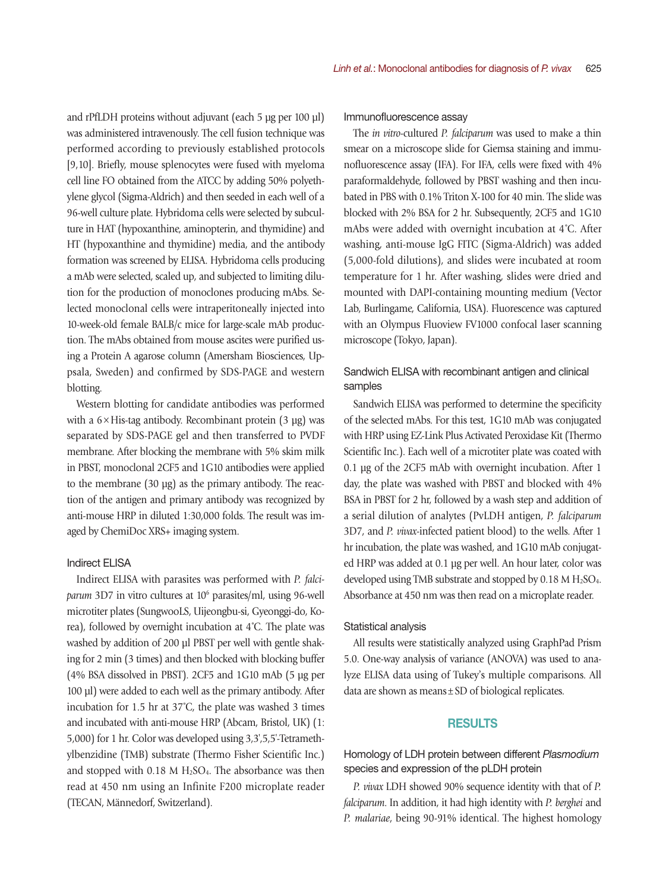and rPfLDH proteins without adjuvant (each 5 ug per 100 ul) was administered intravenously. The cell fusion technique was performed according to previously established protocols [9,10]. Briefly, mouse splenocytes were fused with myeloma cell line FO obtained from the ATCC by adding 50% polyethylene glycol (Sigma-Aldrich) and then seeded in each well of a 96-well culture plate. Hybridoma cells were selected by subculture in HAT (hypoxanthine, aminopterin, and thymidine) and HT (hypoxanthine and thymidine) media, and the antibody formation was screened by ELISA. Hybridoma cells producing a mAb were selected, scaled up, and subjected to limiting dilution for the production of monoclones producing mAbs. Selected monoclonal cells were intraperitoneally injected into 10-week-old female BALB/c mice for large-scale mAb production. The mAbs obtained from mouse ascites were purified using a Protein A agarose column (Amersham Biosciences, Uppsala, Sweden) and confirmed by SDS-PAGE and western blotting.

Western blotting for candidate antibodies was performed with a  $6 \times$  His-tag antibody. Recombinant protein  $(3 \text{ µg})$  was separated by SDS-PAGE gel and then transferred to PVDF membrane. After blocking the membrane with 5% skim milk in PBST, monoclonal 2CF5 and 1G10 antibodies were applied to the membrane (30 µg) as the primary antibody. The reaction of the antigen and primary antibody was recognized by anti-mouse HRP in diluted 1:30,000 folds. The result was imaged by ChemiDoc XRS+ imaging system.

### Indirect ELISA

Indirect ELISA with parasites was performed with *P. falci*parum 3D7 in vitro cultures at 10<sup>6</sup> parasites/ml, using 96-well microtiter plates (SungwooLS, Uijeongbu-si, Gyeonggi-do, Korea), followed by overnight incubation at 4˚C. The plate was washed by addition of 200 µl PBST per well with gentle shaking for 2 min (3 times) and then blocked with blocking buffer (4% BSA dissolved in PBST). 2CF5 and 1G10 mAb (5 μg per 100 μl) were added to each well as the primary antibody. After incubation for 1.5 hr at 37˚C, the plate was washed 3 times and incubated with anti-mouse HRP (Abcam, Bristol, UK) (1: 5,000) for 1 hr. Color was developed using 3,3',5,5'-Tetramethylbenzidine (TMB) substrate (Thermo Fisher Scientific Inc.) and stopped with  $0.18$  M H<sub>2</sub>SO<sub>4</sub>. The absorbance was then read at 450 nm using an Infinite F200 microplate reader (TECAN, Männedorf, Switzerland).

#### Immunofluorescence assay

The *in vitro*-cultured *P. falciparum* was used to make a thin smear on a microscope slide for Giemsa staining and immunofluorescence assay (IFA). For IFA, cells were fixed with 4% paraformaldehyde, followed by PBST washing and then incubated in PBS with 0.1% Triton X-100 for 40 min. The slide was blocked with 2% BSA for 2 hr. Subsequently, 2CF5 and 1G10 mAbs were added with overnight incubation at 4˚C. After washing, anti-mouse IgG FITC (Sigma-Aldrich) was added (5,000-fold dilutions), and slides were incubated at room temperature for 1 hr. After washing, slides were dried and mounted with DAPI-containing mounting medium (Vector Lab, Burlingame, California, USA). Fluorescence was captured with an Olympus Fluoview FV1000 confocal laser scanning microscope (Tokyo, Japan).

# Sandwich ELISA with recombinant antigen and clinical samples

Sandwich ELISA was performed to determine the specificity of the selected mAbs. For this test, 1G10 mAb was conjugated with HRP using EZ-Link Plus Activated Peroxidase Kit (Thermo Scientific Inc.). Each well of a microtiter plate was coated with 0.1 μg of the 2CF5 mAb with overnight incubation. After 1 day, the plate was washed with PBST and blocked with 4% BSA in PBST for 2 hr, followed by a wash step and addition of a serial dilution of analytes (PvLDH antigen, *P. falciparum* 3D7, and *P. vivax*-infected patient blood) to the wells. After 1 hr incubation, the plate was washed, and 1G10 mAb conjugated HRP was added at 0.1 μg per well. An hour later, color was developed using TMB substrate and stopped by  $0.18 M H<sub>2</sub>SO<sub>4</sub>$ . Absorbance at 450 nm was then read on a microplate reader.

#### Statistical analysis

All results were statistically analyzed using GraphPad Prism 5.0. One-way analysis of variance (ANOVA) was used to analyze ELISA data using of Tukey's multiple comparisons. All data are shown as means±SD of biological replicates.

# **RESULTS**

Homology of LDH protein between different *Plasmodium* species and expression of the pLDH protein

*P. vivax* LDH showed 90% sequence identity with that of *P. falciparum*. In addition, it had high identity with *P. berghei* and *P. malariae*, being 90-91% identical. The highest homology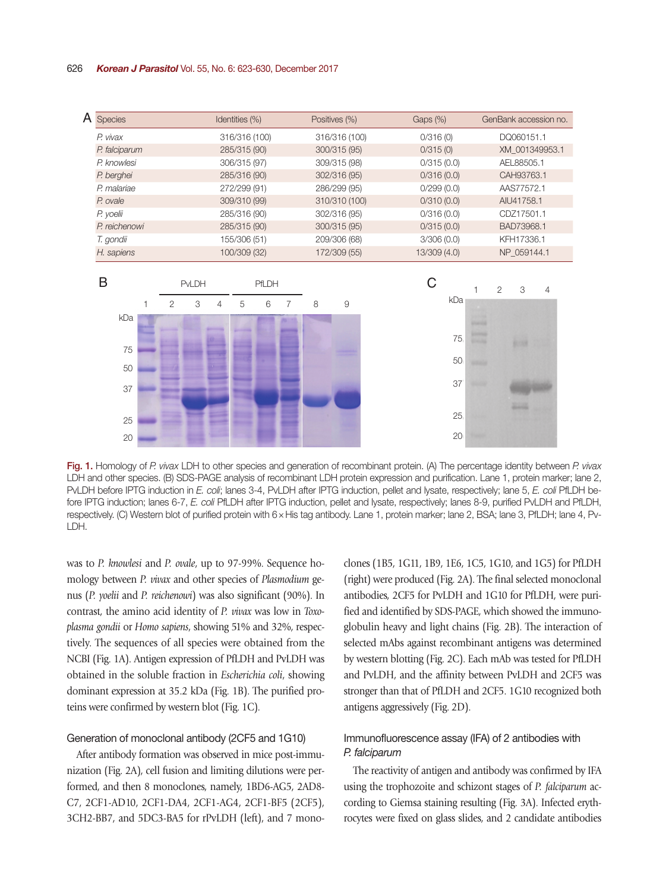#### 626 *Korean J Parasitol* Vol. 55, No. 6: 623-630, December 2017



Fig. 1. Homology of *P. vivax* LDH to other species and generation of recombinant protein. (A) The percentage identity between *P. vivax* LDH and other species. (B) SDS-PAGE analysis of recombinant LDH protein expression and purification. Lane 1, protein marker; lane 2, PvLDH before IPTG induction in *E. coli*; lanes 3-4, PvLDH after IPTG induction, pellet and lysate, respectively; lane 5, *E. coli* PfLDH before IPTG induction; lanes 6-7, *E. coli* PfLDH after IPTG induction, pellet and lysate, respectively; lanes 8-9, purified PvLDH and PfLDH, respectively. (C) Western blot of purified protein with 6×His tag antibody. Lane 1, protein marker; lane 2, BSA; lane 3, PfLDH; lane 4, Pv-LDH.

was to *P. knowlesi* and *P. ovale*, up to 97-99%. Sequence homology between *P. vivax* and other species of *Plasmodium* genus (*P. yoelii* and *P. reichenowi*) was also significant (90%). In contrast, the amino acid identity of *P. vivax* was low in *Toxoplasma gondii* or *Homo sapiens*, showing 51% and 32%, respectively. The sequences of all species were obtained from the NCBI (Fig. 1A). Antigen expression of PfLDH and PvLDH was obtained in the soluble fraction in *Escherichia coli*, showing dominant expression at 35.2 kDa (Fig. 1B). The purified proteins were confirmed by western blot (Fig. 1C).

#### Generation of monoclonal antibody (2CF5 and 1G10)

After antibody formation was observed in mice post-immunization (Fig. 2A), cell fusion and limiting dilutions were performed, and then 8 monoclones, namely, 1BD6-AG5, 2AD8- C7, 2CF1-AD10, 2CF1-DA4, 2CF1-AG4, 2CF1-BF5 (2CF5), 3CH2-BB7, and 5DC3-BA5 for rPvLDH (left), and 7 monoclones (1B5, 1G11, 1B9, 1E6, 1C5, 1G10, and 1G5) for PfLDH (right) were produced (Fig. 2A). The final selected monoclonal antibodies, 2CF5 for PvLDH and 1G10 for PfLDH, were purified and identified by SDS-PAGE, which showed the immunoglobulin heavy and light chains (Fig. 2B). The interaction of selected mAbs against recombinant antigens was determined by western blotting (Fig. 2C). Each mAb was tested for PfLDH and PvLDH, and the affinity between PvLDH and 2CF5 was stronger than that of PfLDH and 2CF5. 1G10 recognized both antigens aggressively (Fig. 2D).

# Immunofluorescence assay (IFA) of 2 antibodies with *P. falciparum*

The reactivity of antigen and antibody was confirmed by IFA using the trophozoite and schizont stages of *P. falciparum* according to Giemsa staining resulting (Fig. 3A). Infected erythrocytes were fixed on glass slides, and 2 candidate antibodies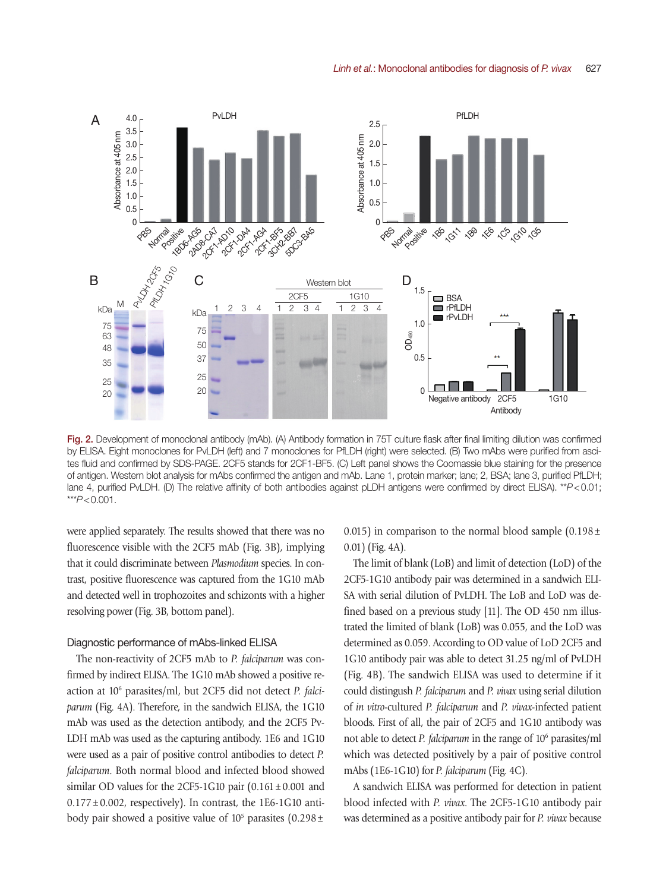

Fig. 2. Development of monoclonal antibody (mAb). (A) Antibody formation in 75T culture flask after final limiting dilution was confirmed by ELISA. Eight monoclones for PvLDH (left) and 7 monoclones for PfLDH (right) were selected. (B) Two mAbs were purified from ascites fluid and confirmed by SDS-PAGE. 2CF5 stands for 2CF1-BF5. (C) Left panel shows the Coomassie blue staining for the presence of antigen. Western blot analysis for mAbs confirmed the antigen and mAb. Lane 1, protein marker; lane; 2, BSA; lane 3, purified PfLDH; lane 4, purified PvLDH. (D) The relative affinity of both antibodies against pLDH antigens were confirmed by direct ELISA). \*\**P*<0.01; \*\*\**P*<0.001.

were applied separately. The results showed that there was no fluorescence visible with the 2CF5 mAb (Fig. 3B), implying that it could discriminate between *Plasmodium* species. In contrast, positive fluorescence was captured from the 1G10 mAb and detected well in trophozoites and schizonts with a higher resolving power (Fig. 3B, bottom panel).

## Diagnostic performance of mAbs-linked ELISA

The non-reactivity of 2CF5 mAb to *P. falciparum* was confirmed by indirect ELISA. The 1G10 mAb showed a positive reaction at 10<sup>6</sup> parasites/ml, but 2CF5 did not detect *P. falciparum* (Fig. 4A). Therefore, in the sandwich ELISA, the 1G10 mAb was used as the detection antibody, and the 2CF5 Pv-LDH mAb was used as the capturing antibody. 1E6 and 1G10 were used as a pair of positive control antibodies to detect *P. falciparum*. Both normal blood and infected blood showed similar OD values for the 2CF5-1G10 pair  $(0.161 \pm 0.001$  and  $0.177 \pm 0.002$ , respectively). In contrast, the 1E6-1G10 antibody pair showed a positive value of  $10^5$  parasites  $(0.298 \pm$ 

0.015) in comparison to the normal blood sample  $(0.198 \pm 1)$ 0.01) (Fig. 4A).

The limit of blank (LoB) and limit of detection (LoD) of the 2CF5-1G10 antibody pair was determined in a sandwich ELI-SA with serial dilution of PvLDH. The LoB and LoD was defined based on a previous study [11]. The OD 450 nm illustrated the limited of blank (LoB) was 0.055, and the LoD was determined as 0.059. According to OD value of LoD 2CF5 and 1G10 antibody pair was able to detect 31.25 ng/ml of PvLDH (Fig. 4B). The sandwich ELISA was used to determine if it could distingush *P. falciparum* and *P. vivax* using serial dilution of *in vitro*-cultured *P. falciparum* and *P. vivax*-infected patient bloods. First of all, the pair of 2CF5 and 1G10 antibody was not able to detect *P. falciparum* in the range of 10<sup>6</sup> parasites/ml which was detected positively by a pair of positive control mAbs (1E6-1G10) for *P. falciparum* (Fig. 4C).

A sandwich ELISA was performed for detection in patient blood infected with *P. vivax*. The 2CF5-1G10 antibody pair was determined as a positive antibody pair for *P. vivax* because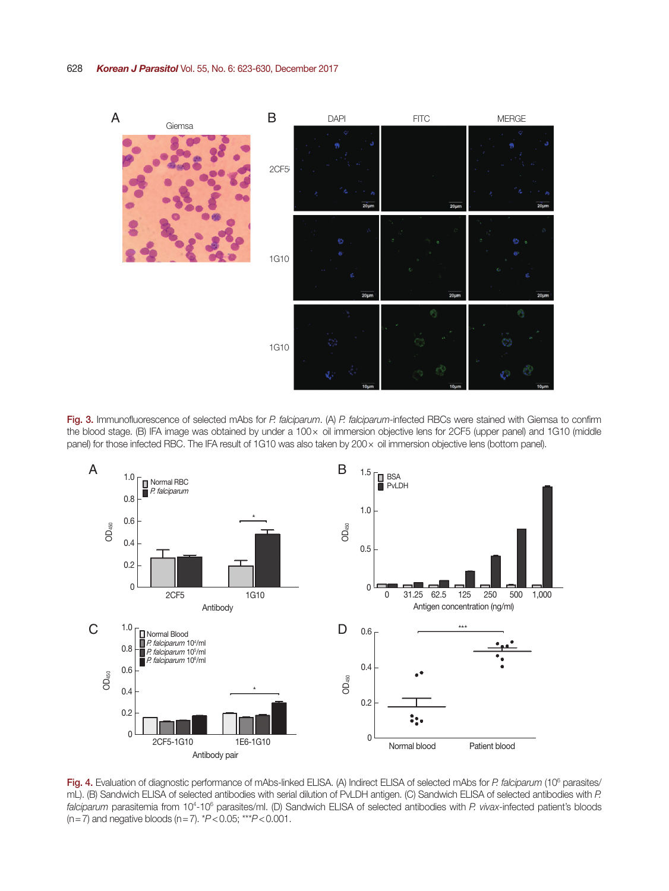

Fig. 3. Immunofluorescence of selected mAbs for *P. falciparum*. (A) *P. falciparum*-infected RBCs were stained with Giemsa to confirm the blood stage. (B) IFA image was obtained by under a 100 x oil immersion objective lens for 2CF5 (upper panel) and 1G10 (middle panel) for those infected RBC. The IFA result of 1G10 was also taken by 200× oil immersion objective lens (bottom panel).



Fig. 4. Evaluation of diagnostic performance of mAbs-linked ELISA. (A) Indirect ELISA of selected mAbs for P. falciparum (10<sup>6</sup> parasites/ mL). (B) Sandwich ELISA of selected antibodies with serial dilution of PvLDH antigen. (C) Sandwich ELISA of selected antibodies with *P.*  falciparum parasitemia from 10<sup>4</sup>-10<sup>6</sup> parasites/ml. (D) Sandwich ELISA of selected antibodies with *P. vivax*-infected patient's bloods (n=7) and negative bloods (n=7). \**P*<0.05; \*\*\**P*<0.001.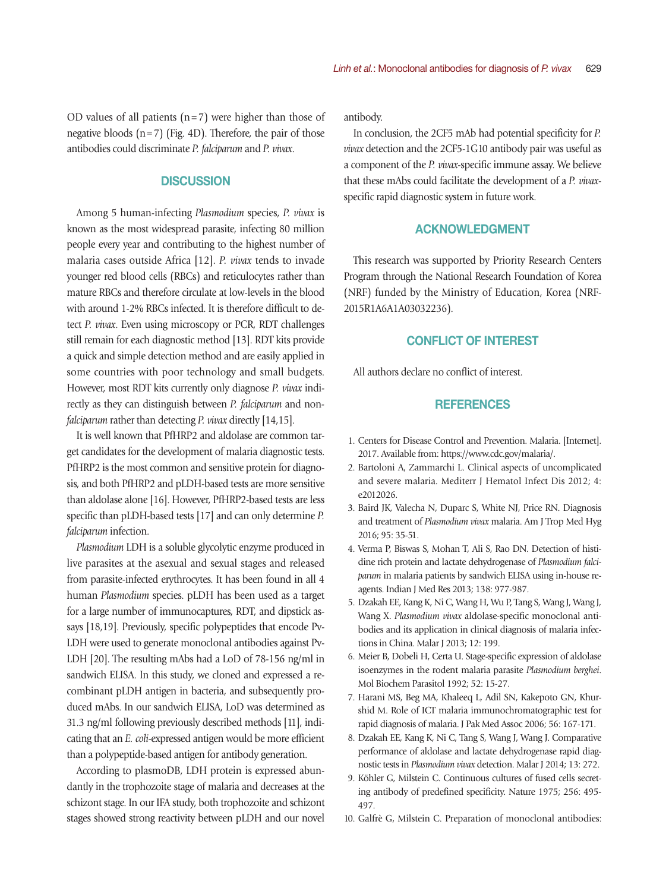OD values of all patients  $(n=7)$  were higher than those of negative bloods  $(n=7)$  (Fig. 4D). Therefore, the pair of those antibodies could discriminate *P. falciparum* and *P. vivax*.

## **DISCUSSION**

Among 5 human-infecting *Plasmodium* species, *P. vivax* is known as the most widespread parasite, infecting 80 million people every year and contributing to the highest number of malaria cases outside Africa [12]. *P. vivax* tends to invade younger red blood cells (RBCs) and reticulocytes rather than mature RBCs and therefore circulate at low-levels in the blood with around 1-2% RBCs infected. It is therefore difficult to detect *P. vivax*. Even using microscopy or PCR, RDT challenges still remain for each diagnostic method [13]. RDT kits provide a quick and simple detection method and are easily applied in some countries with poor technology and small budgets. However, most RDT kits currently only diagnose *P. vivax* indirectly as they can distinguish between *P. falciparum* and non*falciparum* rather than detecting *P. vivax* directly [14,15].

It is well known that PfHRP2 and aldolase are common target candidates for the development of malaria diagnostic tests. PfHRP2 is the most common and sensitive protein for diagnosis, and both PfHRP2 and pLDH-based tests are more sensitive than aldolase alone [16]. However, PfHRP2-based tests are less specific than pLDH-based tests [17] and can only determine *P. falciparum* infection.

*Plasmodium* LDH is a soluble glycolytic enzyme produced in live parasites at the asexual and sexual stages and released from parasite-infected erythrocytes. It has been found in all 4 human *Plasmodium* species. pLDH has been used as a target for a large number of immunocaptures, RDT, and dipstick assays [18,19]. Previously, specific polypeptides that encode Pv-LDH were used to generate monoclonal antibodies against Pv-LDH [20]. The resulting mAbs had a LoD of 78-156 ng/ml in sandwich ELISA. In this study, we cloned and expressed a recombinant pLDH antigen in bacteria, and subsequently produced mAbs. In our sandwich ELISA, LoD was determined as 31.3 ng/ml following previously described methods [11], indicating that an *E. coli*-expressed antigen would be more efficient than a polypeptide-based antigen for antibody generation.

According to plasmoDB, LDH protein is expressed abundantly in the trophozoite stage of malaria and decreases at the schizont stage. In our IFA study, both trophozoite and schizont stages showed strong reactivity between pLDH and our novel

antibody.

In conclusion, the 2CF5 mAb had potential specificity for *P. vivax* detection and the 2CF5-1G10 antibody pair was useful as a component of the *P. vivax*-specific immune assay. We believe that these mAbs could facilitate the development of a *P. vivax*specific rapid diagnostic system in future work.

# ACKNOWLEDGMENT

This research was supported by Priority Research Centers Program through the National Research Foundation of Korea (NRF) funded by the Ministry of Education, Korea (NRF-2015R1A6A1A03032236).

# CONFLICT OF INTEREST

All authors declare no conflict of interest.

# **REFERENCES**

- 1. Centers for Disease Control and Prevention. Malaria. [Internet]. 2017. Available from: https://www.cdc.gov/malaria/.
- 2. Bartoloni A, Zammarchi L. Clinical aspects of uncomplicated and severe malaria. Mediterr J Hematol Infect Dis 2012; 4: e2012026.
- 3. Baird JK, Valecha N, Duparc S, White NJ, Price RN. Diagnosis and treatment of *Plasmodium vivax* malaria. Am J Trop Med Hyg 2016; 95: 35-51.
- 4. Verma P, Biswas S, Mohan T, Ali S, Rao DN. Detection of histidine rich protein and lactate dehydrogenase of *Plasmodium falciparum* in malaria patients by sandwich ELISA using in-house reagents. Indian J Med Res 2013; 138: 977-987.
- 5. Dzakah EE, Kang K, Ni C, Wang H, Wu P, Tang S, Wang J, Wang J, Wang X. *Plasmodium vivax* aldolase-specific monoclonal antibodies and its application in clinical diagnosis of malaria infections in China. Malar J 2013; 12: 199.
- 6. Meier B, Dobeli H, Certa U. Stage-specific expression of aldolase isoenzymes in the rodent malaria parasite *Plasmodium berghei*. Mol Biochem Parasitol 1992; 52: 15-27.
- 7. Harani MS, Beg MA, Khaleeq L, Adil SN, Kakepoto GN, Khurshid M. Role of ICT malaria immunochromatographic test for rapid diagnosis of malaria. J Pak Med Assoc 2006; 56: 167-171.
- 8. Dzakah EE, Kang K, Ni C, Tang S, Wang J, Wang J. Comparative performance of aldolase and lactate dehydrogenase rapid diagnostic tests in *Plasmodium vivax* detection. Malar J 2014; 13: 272.
- 9. Köhler G, Milstein C. Continuous cultures of fused cells secreting antibody of predefined specificity. Nature 1975; 256: 495- 497.
- 10. Galfrè G, Milstein C. Preparation of monoclonal antibodies: